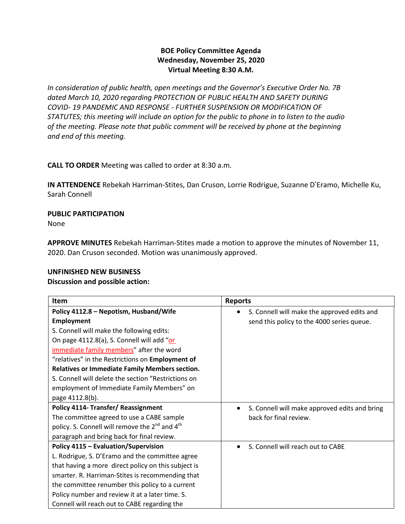# **BOE Policy Committee Agenda Wednesday, November 25, 2020 Virtual Meeting 8:30 A.M.**

*In consideration of public health, open meetings and the Governor's Executive Order No. 7B dated March 10, 2020 regarding PROTECTION OF PUBLIC HEALTH AND SAFETY DURING COVID- 19 PANDEMIC AND RESPONSE - FURTHER SUSPENSION OR MODIFICATION OF STATUTES; this meeting will include an option for the public to phone in to listen to the audio of the meeting. Please note that public comment will be received by phone at the beginning and end of this meeting.*

**CALL TO ORDER** Meeting was called to order at 8:30 a.m.

**IN ATTENDENCE** Rebekah Harriman-Stites, Dan Cruson, Lorrie Rodrigue, Suzanne D'Eramo, Michelle Ku, Sarah Connell

## **PUBLIC PARTICIPATION**

None

**APPROVE MINUTES** Rebekah Harriman-Stites made a motion to approve the minutes of November 11, 2020. Dan Cruson seconded. Motion was unanimously approved.

## **UNFINISHED NEW BUSINESS**

## **Discussion and possible action:**

| Item                                                                   | <b>Reports</b>                                     |
|------------------------------------------------------------------------|----------------------------------------------------|
| Policy 4112.8 - Nepotism, Husband/Wife                                 | S. Connell will make the approved edits and        |
| <b>Employment</b>                                                      | send this policy to the 4000 series queue.         |
| S. Connell will make the following edits:                              |                                                    |
| On page 4112.8(a), S. Connell will add "or                             |                                                    |
| immediate family members" after the word                               |                                                    |
| "relatives" in the Restrictions on Employment of                       |                                                    |
| <b>Relatives or Immediate Family Members section.</b>                  |                                                    |
| S. Connell will delete the section "Restrictions on                    |                                                    |
| employment of Immediate Family Members" on                             |                                                    |
| page 4112.8(b).                                                        |                                                    |
| <b>Policy 4114- Transfer/ Reassignment</b>                             | S. Connell will make approved edits and bring<br>٠ |
| The committee agreed to use a CABE sample                              | back for final review.                             |
| policy. S. Connell will remove the 2 <sup>nd</sup> and 4 <sup>th</sup> |                                                    |
| paragraph and bring back for final review.                             |                                                    |
| <b>Policy 4115 - Evaluation/Supervision</b>                            | S. Connell will reach out to CABE                  |
| L. Rodrigue, S. D'Eramo and the committee agree                        |                                                    |
| that having a more direct policy on this subject is                    |                                                    |
| smarter. R. Harriman-Stites is recommending that                       |                                                    |
| the committee renumber this policy to a current                        |                                                    |
| Policy number and review it at a later time. S.                        |                                                    |
| Connell will reach out to CABE regarding the                           |                                                    |